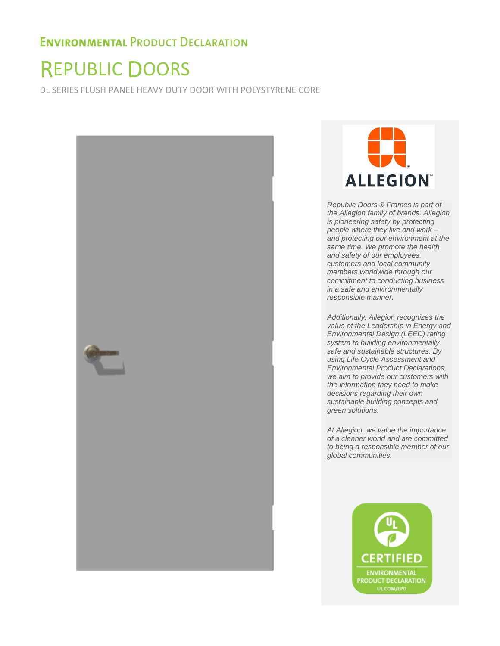# REPUBLIC DOORS

DL SERIES FLUSH PANEL HEAVY DUTY DOOR WITH POLYSTYRENE CORE





*Republic Doors & Frames is part of the Allegion family of brands. Allegion is pioneering safety by protecting people where they live and work – and protecting our environment at the same time. We promote the health and safety of our employees, customers and local community members worldwide through our commitment to conducting business in a safe and environmentally responsible manner.* 

*Additionally, Allegion recognizes the value of the Leadership in Energy and Environmental Design (LEED) rating system to building environmentally safe and sustainable structures. By using Life Cycle Assessment and Environmental Product Declarations, we aim to provide our customers with the information they need to make decisions regarding their own sustainable building concepts and green solutions.* 

*At Allegion, we value the importance of a cleaner world and are committed to being a responsible member of our global communities.* 

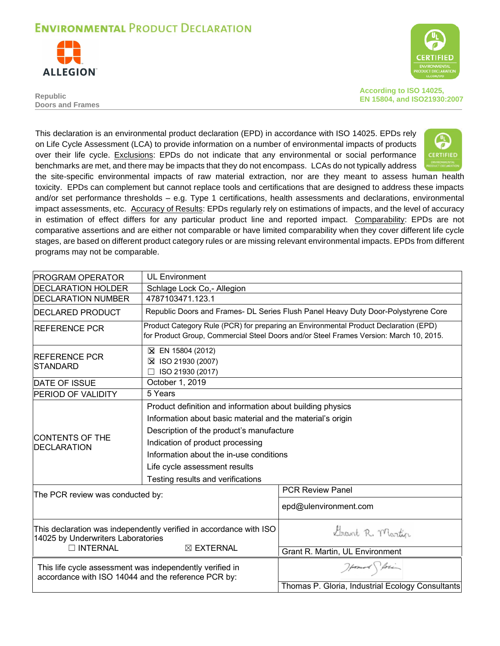



**Republic Doors and Frames** **According to ISO 14025, EN 15804, and ISO21930:2007** 

This declaration is an environmental product declaration (EPD) in accordance with ISO 14025. EPDs rely on Life Cycle Assessment (LCA) to provide information on a number of environmental impacts of products over their life cycle. Exclusions: EPDs do not indicate that any environmental or social performance benchmarks are met, and there may be impacts that they do not encompass. LCAs do not typically address



the site-specific environmental impacts of raw material extraction, nor are they meant to assess human health toxicity. EPDs can complement but cannot replace tools and certifications that are designed to address these impacts and/or set performance thresholds – e.g. Type 1 certifications, health assessments and declarations, environmental impact assessments, etc. Accuracy of Results: EPDs regularly rely on estimations of impacts, and the level of accuracy in estimation of effect differs for any particular product line and reported impact. Comparability: EPDs are not comparative assertions and are either not comparable or have limited comparability when they cover different life cycle stages, are based on different product category rules or are missing relevant environmental impacts. EPDs from different programs may not be comparable.

| <b>PROGRAM OPERATOR</b>                                                                                         | <b>UL Environment</b>                                                                                                                                                                                                                                                               |                                                                                                                                                                                |  |  |
|-----------------------------------------------------------------------------------------------------------------|-------------------------------------------------------------------------------------------------------------------------------------------------------------------------------------------------------------------------------------------------------------------------------------|--------------------------------------------------------------------------------------------------------------------------------------------------------------------------------|--|--|
| <b>DECLARATION HOLDER</b>                                                                                       | Schlage Lock Co,- Allegion                                                                                                                                                                                                                                                          |                                                                                                                                                                                |  |  |
| <b>DECLARATION NUMBER</b>                                                                                       | 4787103471.123.1                                                                                                                                                                                                                                                                    |                                                                                                                                                                                |  |  |
| <b>DECLARED PRODUCT</b>                                                                                         |                                                                                                                                                                                                                                                                                     | Republic Doors and Frames- DL Series Flush Panel Heavy Duty Door-Polystyrene Core                                                                                              |  |  |
| <b>REFERENCE PCR</b>                                                                                            |                                                                                                                                                                                                                                                                                     | Product Category Rule (PCR) for preparing an Environmental Product Declaration (EPD)<br>for Product Group, Commercial Steel Doors and/or Steel Frames Version: March 10, 2015. |  |  |
| <b>REFERENCE PCR</b><br><b>STANDARD</b>                                                                         | ⊠ EN 15804 (2012)<br>⊠ ISO 21930 (2007)<br>ISO 21930 (2017)                                                                                                                                                                                                                         |                                                                                                                                                                                |  |  |
| <b>DATE OF ISSUE</b>                                                                                            | October 1, 2019                                                                                                                                                                                                                                                                     |                                                                                                                                                                                |  |  |
| <b>PERIOD OF VALIDITY</b>                                                                                       | 5 Years                                                                                                                                                                                                                                                                             |                                                                                                                                                                                |  |  |
| <b>CONTENTS OF THE</b><br><b>IDECLARATION</b>                                                                   | Product definition and information about building physics<br>Information about basic material and the material's origin<br>Description of the product's manufacture<br>Indication of product processing<br>Information about the in-use conditions<br>Life cycle assessment results |                                                                                                                                                                                |  |  |
|                                                                                                                 | Testing results and verifications                                                                                                                                                                                                                                                   | <b>PCR Review Panel</b>                                                                                                                                                        |  |  |
| The PCR review was conducted by:                                                                                |                                                                                                                                                                                                                                                                                     | epd@ulenvironment.com                                                                                                                                                          |  |  |
| 14025 by Underwriters Laboratories<br>$\Box$ INTERNAL                                                           | This declaration was independently verified in accordance with ISO<br>$\boxtimes$ EXTERNAL                                                                                                                                                                                          | Grant R. Martin<br>Grant R. Martin, UL Environment                                                                                                                             |  |  |
| This life cycle assessment was independently verified in<br>accordance with ISO 14044 and the reference PCR by: |                                                                                                                                                                                                                                                                                     | Homes Storing<br>Thomas P. Gloria, Industrial Ecology Consultants                                                                                                              |  |  |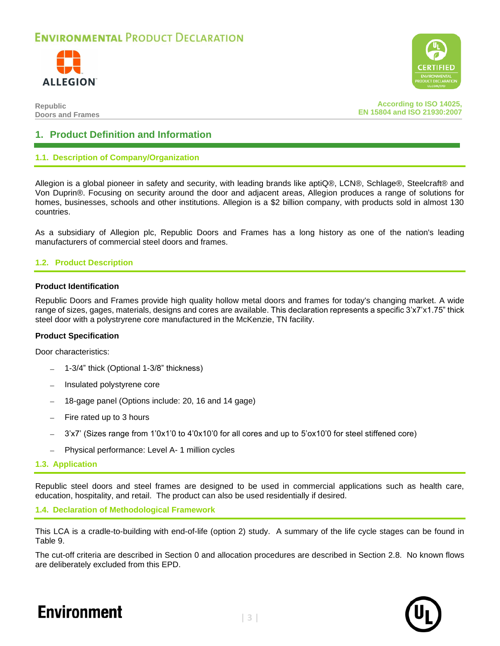



**Republic Doors and Frames**

**According to ISO 14025, EN 15804 and ISO 21930:2007**

### **1. Product Definition and Information**

#### **1.1. Description of Company/Organization**

Allegion is a global pioneer in safety and security, with leading brands like aptiQ®, LCN®, Schlage®, Steelcraft® and Von Duprin®. Focusing on security around the door and adjacent areas, Allegion produces a range of solutions for homes, businesses, schools and other institutions. Allegion is a \$2 billion company, with products sold in almost 130 countries.

As a subsidiary of Allegion plc, Republic Doors and Frames has a long history as one of the nation's leading manufacturers of commercial steel doors and frames.

#### **1.2. Product Description**

#### **Product Identification**

Republic Doors and Frames provide high quality hollow metal doors and frames for today's changing market. A wide range of sizes, gages, materials, designs and cores are available. This declaration represents a specific 3'x7'x1.75" thick steel door with a polystryrene core manufactured in the McKenzie, TN facility.

#### **Product Specification**

Door characteristics:

- − 1-3/4" thick (Optional 1-3/8" thickness)
- − Insulated polystyrene core
- − 18-gage panel (Options include: 20, 16 and 14 gage)
- − Fire rated up to 3 hours
- − 3'x7' (Sizes range from 1'0x1'0 to 4'0x10'0 for all cores and up to 5'ox10'0 for steel stiffened core)
- − Physical performance: Level A- 1 million cycles
- **1.3. Application**

Republic steel doors and steel frames are designed to be used in commercial applications such as health care, education, hospitality, and retail. The product can also be used residentially if desired.

#### **1.4. Declaration of Methodological Framework**

This LCA is a cradle-to-building with end-of-life (option 2) study. A summary of the life cycle stages can be found in [Table 9.](#page-8-0)

The cut-off criteria are described in Section [0](#page-6-0) and allocation procedures are described in Section [2.8.](#page-7-0) No known flows are deliberately excluded from this EPD.



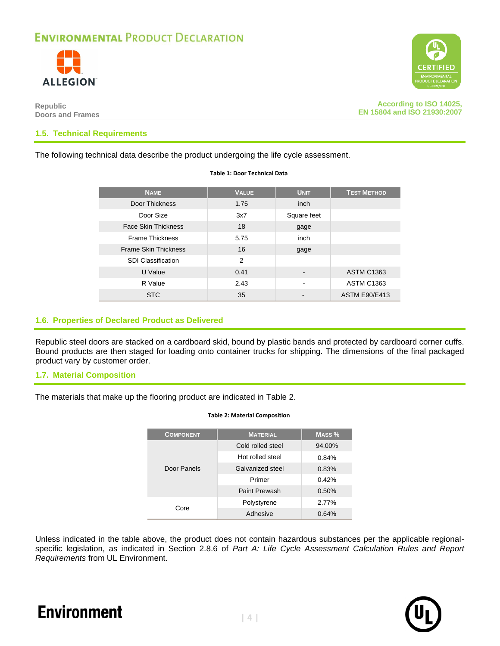



**According to ISO 14025, EN 15804 and ISO 21930:2007**

#### **1.5. Technical Requirements**

The following technical data describe the product undergoing the life cycle assessment.

| <b>NAME</b>                 | <b>VALUE</b> | <b>UNIT</b>    | <b>TEST METHOD</b>   |
|-----------------------------|--------------|----------------|----------------------|
| Door Thickness              | 1.75         | inch           |                      |
| Door Size                   | 3x7          | Square feet    |                      |
| <b>Face Skin Thickness</b>  | 18           | gage           |                      |
| <b>Frame Thickness</b>      | 5.75         | inch           |                      |
| <b>Frame Skin Thickness</b> | 16           | gage           |                      |
| <b>SDI Classification</b>   | 2            |                |                      |
| U Value                     | 0.41         |                | <b>ASTM C1363</b>    |
| R Value                     | 2.43         | $\blacksquare$ | <b>ASTM C1363</b>    |
| <b>STC</b>                  | 35           |                | <b>ASTM E90/E413</b> |

**Table 1: Door Technical Data**

#### **1.6. Properties of Declared Product as Delivered**

Republic steel doors are stacked on a cardboard skid, bound by plastic bands and protected by cardboard corner cuffs. Bound products are then staged for loading onto container trucks for shipping. The dimensions of the final packaged product vary by customer order.

#### **1.7. Material Composition**

<span id="page-3-0"></span>The materials that make up the flooring product are indicated in [Table 2.](#page-3-0)

| <b>COMPONENT</b> | <b>MATERIAL</b>   | MASS <sub>%</sub> |
|------------------|-------------------|-------------------|
|                  | Cold rolled steel | 94.00%            |
|                  | Hot rolled steel  | 0.84%             |
| Door Panels      | Galvanized steel  | 0.83%             |
|                  | Primer            | 0.42%             |
|                  | Paint Prewash     | 0.50%             |
| Core             | Polystyrene       | 2.77%             |
|                  | Adhesive          | 0.64%             |

#### **Table 2: Material Composition**

Unless indicated in the table above, the product does not contain hazardous substances per the applicable regionalspecific legislation, as indicated in Section 2.8.6 of *Part A: Life Cycle Assessment Calculation Rules and Report Requirements* from UL Environment.

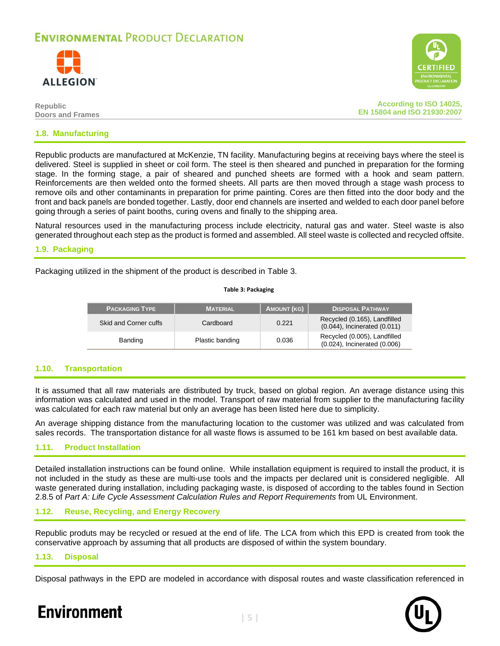



| Republic                | <b>According to ISO 14025,</b> |
|-------------------------|--------------------------------|
| <b>Doors and Frames</b> | EN 15804 and ISO 21930:2007    |
|                         |                                |

#### **1.8. Manufacturing**

Republic products are manufactured at McKenzie, TN facility. Manufacturing begins at receiving bays where the steel is delivered. Steel is supplied in sheet or coil form. The steel is then sheared and punched in preparation for the forming stage. In the forming stage, a pair of sheared and punched sheets are formed with a hook and seam pattern. Reinforcements are then welded onto the formed sheets. All parts are then moved through a stage wash process to remove oils and other contaminants in preparation for prime painting. Cores are then fitted into the door body and the front and back panels are bonded together. Lastly, door end channels are inserted and welded to each door panel before going through a series of paint booths, curing ovens and finally to the shipping area.

Natural resources used in the manufacturing process include electricity, natural gas and water. Steel waste is also generated throughout each step as the product is formed and assembled. All steel waste is collected and recycled offsite.

#### **1.9. Packaging**

<span id="page-4-0"></span>Packaging utilized in the shipment of the product is described in [Table 3.](#page-4-0)

| <b>PACKAGING TYPE</b> | <b>MATERIAL</b> | <b>AMOUNT (KG)</b> | <b>DISPOSAL PATHWAY</b>                                      |
|-----------------------|-----------------|--------------------|--------------------------------------------------------------|
| Skid and Corner cuffs | Cardboard       | 0.221              | Recycled (0.165), Landfilled<br>(0.044), Incinerated (0.011) |
| Banding               | Plastic banding | 0.036              | Recycled (0.005), Landfilled<br>(0.024), Incinerated (0.006) |

**Table 3: Packaging**

#### **1.10. Transportation**

It is assumed that all raw materials are distributed by truck, based on global region. An average distance using this information was calculated and used in the model. Transport of raw material from supplier to the manufacturing facility was calculated for each raw material but only an average has been listed here due to simplicity.

An average shipping distance from the manufacturing location to the customer was utilized and was calculated from sales records. The transportation distance for all waste flows is assumed to be 161 km based on best available data.

#### **1.11. Product Installation**

Detailed installation instructions can be found online. While installation equipment is required to install the product, it is not included in the study as these are multi-use tools and the impacts per declared unit is considered negligible. All waste generated during installation, including packaging waste, is disposed of according to the tables found in Section 2.8.5 of *Part A: Life Cycle Assessment Calculation Rules and Report Requirements* from UL Environment.

#### **1.12. Reuse, Recycling, and Energy Recovery**

Republic produts may be recycled or resued at the end of life. The LCA from which this EPD is created from took the conservative approach by assuming that all products are disposed of within the system boundary.

#### **1.13. Disposal**

Disposal pathways in the EPD are modeled in accordance with disposal routes and waste classification referenced in

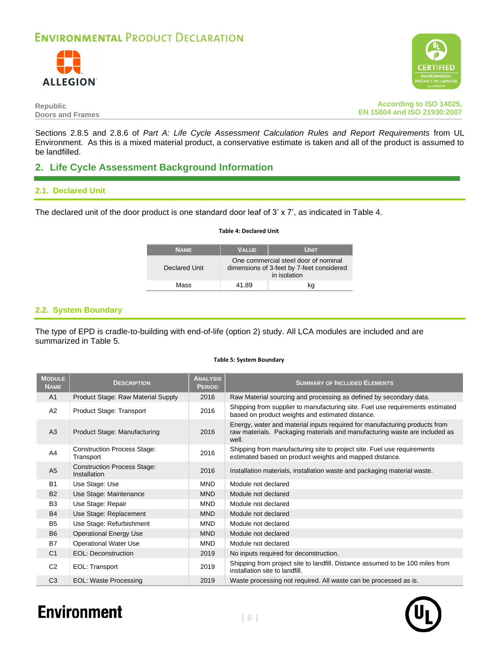



#### **Republic Doors and Frames**

**According to ISO 14025, EN 15804 and ISO 21930:2007**

Sections 2.8.5 and 2.8.6 of *Part A: Life Cycle Assessment Calculation Rules and Report Requirements* from UL Environment. As this is a mixed material product, a conservative estimate is taken and all of the product is assumed to be landfilled.

### **2. Life Cycle Assessment Background Information**

#### **2.1. Declared Unit**

<span id="page-5-0"></span>The declared unit of the door product is one standard door leaf of 3' x 7', as indicated in [Table 4.](#page-5-0)

#### **Table 4: Declared Unit**

| <b>NAME</b>   | <b>VALUE</b>                                                                                      | <b>UNIT</b> |
|---------------|---------------------------------------------------------------------------------------------------|-------------|
| Declared Unit | One commercial steel door of nominal<br>dimensions of 3-feet by 7-feet considered<br>in isolation |             |
| Mass          | 41.89                                                                                             | kα          |

#### **2.2. System Boundary**

The type of EPD is cradle-to-building with end-of-life (option 2) study. All LCA modules are included and are summarized in [Table 5.](#page-5-1)

#### **Table 5: System Boundary**

<span id="page-5-1"></span>

| <b>MODULE</b><br><b>NAME</b> | <b>DESCRIPTION</b>                                 | <b>ANALYSIS</b><br><b>PERIOD</b> | <b>SUMMARY OF INCLUDED ELEMENTS</b>                                                                                                                               |
|------------------------------|----------------------------------------------------|----------------------------------|-------------------------------------------------------------------------------------------------------------------------------------------------------------------|
| A <sub>1</sub>               | Product Stage: Raw Material Supply                 | 2016                             | Raw Material sourcing and processing as defined by secondary data.                                                                                                |
| A2                           | Product Stage: Transport                           | 2016                             | Shipping from supplier to manufacturing site. Fuel use requirements estimated<br>based on product weights and estimated distance.                                 |
| A <sub>3</sub>               | Product Stage: Manufacturing                       | 2016                             | Energy, water and material inputs required for manufacturing products from<br>raw materials. Packaging materials and manufacturing waste are included as<br>well. |
| A <sub>4</sub>               | <b>Construction Process Stage:</b><br>Transport    | 2016                             | Shipping from manufacturing site to project site. Fuel use requirements<br>estimated based on product weights and mapped distance.                                |
| A <sub>5</sub>               | <b>Construction Process Stage:</b><br>Installation | 2016                             | Installation materials, installation waste and packaging material waste.                                                                                          |
| <b>B1</b>                    | Use Stage: Use                                     | <b>MND</b>                       | Module not declared                                                                                                                                               |
| <b>B2</b>                    | Use Stage: Maintenance                             | <b>MND</b>                       | Module not declared                                                                                                                                               |
| B <sub>3</sub>               | Use Stage: Repair                                  | <b>MND</b>                       | Module not declared                                                                                                                                               |
| <b>B4</b>                    | Use Stage: Replacement                             | <b>MND</b>                       | Module not declared                                                                                                                                               |
| B <sub>5</sub>               | Use Stage: Refurbishment                           | <b>MND</b>                       | Module not declared                                                                                                                                               |
| <b>B6</b>                    | <b>Operational Energy Use</b>                      | <b>MND</b>                       | Module not declared                                                                                                                                               |
| <b>B7</b>                    | <b>Operational Water Use</b>                       | <b>MND</b>                       | Module not declared                                                                                                                                               |
| C <sub>1</sub>               | EOL: Deconstruction                                | 2019                             | No inputs required for deconstruction.                                                                                                                            |
| C <sub>2</sub>               | EOL: Transport                                     | 2019                             | Shipping from project site to landfill. Distance assumed to be 100 miles from<br>installation site to landfill.                                                   |
| C <sub>3</sub>               | <b>EOL: Waste Processing</b>                       | 2019                             | Waste processing not required. All waste can be processed as is.                                                                                                  |

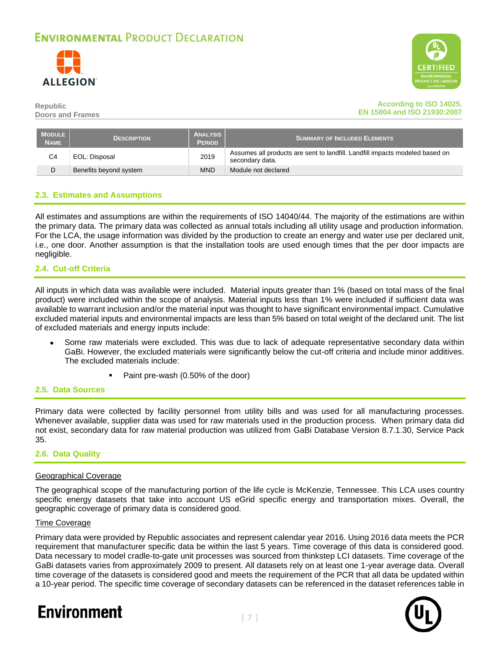



#### **According to ISO 14025, EN 15804 and ISO 21930:2007**

| MODULE  <br><b>NAME</b> | <b>DESCRIPTION</b>     | <b>ANALYSIS</b><br><b>PERIOD</b> | <b>SUMMARY OF INCLUDED ELEMENTS</b>                                                             |
|-------------------------|------------------------|----------------------------------|-------------------------------------------------------------------------------------------------|
| C4                      | EOL: Disposal          | 2019                             | Assumes all products are sent to landfill. Landfill impacts modeled based on<br>secondary data. |
|                         | Benefits beyond system | <b>MND</b>                       | Module not declared                                                                             |

#### **2.3. Estimates and Assumptions**

<span id="page-6-0"></span>All estimates and assumptions are within the requirements of ISO 14040/44. The majority of the estimations are within the primary data. The primary data was collected as annual totals including all utility usage and production information. For the LCA, the usage information was divided by the production to create an energy and water use per declared unit, i.e., one door. Another assumption is that the installation tools are used enough times that the per door impacts are negligible.

#### **2.4. Cut-off Criteria**

All inputs in which data was available were included. Material inputs greater than 1% (based on total mass of the final product) were included within the scope of analysis. Material inputs less than 1% were included if sufficient data was available to warrant inclusion and/or the material input was thought to have significant environmental impact. Cumulative excluded material inputs and environmental impacts are less than 5% based on total weight of the declared unit. The list of excluded materials and energy inputs include:

- Some raw materials were excluded. This was due to lack of adequate representative secondary data within GaBi. However, the excluded materials were significantly below the cut-off criteria and include minor additives. The excluded materials include:
	- Paint pre-wash (0.50% of the door)

#### **2.5. Data Sources**

Primary data were collected by facility personnel from utility bills and was used for all manufacturing processes. Whenever available, supplier data was used for raw materials used in the production process. When primary data did not exist, secondary data for raw material production was utilized from GaBi Database Version 8.7.1.30, Service Pack 35.

#### **2.6. Data Quality**

#### Geographical Coverage

The geographical scope of the manufacturing portion of the life cycle is McKenzie, Tennessee. This LCA uses country specific energy datasets that take into account US eGrid specific energy and transportation mixes. Overall, the geographic coverage of primary data is considered good.

#### Time Coverage

Primary data were provided by Republic associates and represent calendar year 2016. Using 2016 data meets the PCR requirement that manufacturer specific data be within the last 5 years. Time coverage of this data is considered good. Data necessary to model cradle-to-gate unit processes was sourced from thinkstep LCI datasets. Time coverage of the GaBi datasets varies from approximately 2009 to present. All datasets rely on at least one 1-year average data. Overall time coverage of the datasets is considered good and meets the requirement of the PCR that all data be updated within a 10-year period. The specific time coverage of secondary datasets can be referenced in the dataset references table in

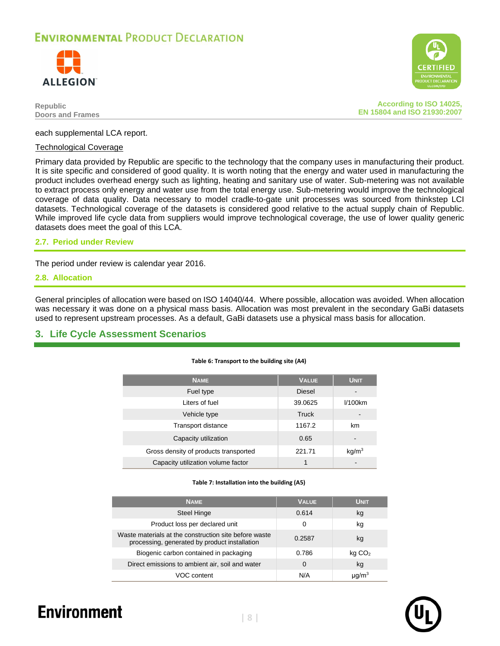



**According to ISO 14025, EN 15804 and ISO 21930:2007**

each supplemental LCA report.

#### Technological Coverage

Primary data provided by Republic are specific to the technology that the company uses in manufacturing their product. It is site specific and considered of good quality. It is worth noting that the energy and water used in manufacturing the product includes overhead energy such as lighting, heating and sanitary use of water. Sub-metering was not available to extract process only energy and water use from the total energy use. Sub-metering would improve the technological coverage of data quality. Data necessary to model cradle-to-gate unit processes was sourced from thinkstep LCI datasets. Technological coverage of the datasets is considered good relative to the actual supply chain of Republic. While improved life cycle data from suppliers would improve technological coverage, the use of lower quality generic datasets does meet the goal of this LCA.

#### **2.7. Period under Review**

The period under review is calendar year 2016.

#### <span id="page-7-0"></span>**2.8. Allocation**

General principles of allocation were based on ISO 14040/44. Where possible, allocation was avoided. When allocation was necessary it was done on a physical mass basis. Allocation was most prevalent in the secondary GaBi datasets used to represent upstream processes. As a default, GaBi datasets use a physical mass basis for allocation.

#### **3. Life Cycle Assessment Scenarios**

| Table 6: Transport to the building site (A4) |  |  |
|----------------------------------------------|--|--|
|                                              |  |  |

| <b>NAME</b>                           | <b>VALUE</b>  | <b>UNIT</b>              |
|---------------------------------------|---------------|--------------------------|
| Fuel type                             | <b>Diesel</b> |                          |
| Liters of fuel                        | 39.0625       | $1/100$ km               |
| Vehicle type                          | Truck         | $\overline{\phantom{0}}$ |
| Transport distance                    | 1167.2        | km                       |
| Capacity utilization                  | 0.65          | -                        |
| Gross density of products transported | 221.71        | kq/m <sup>3</sup>        |
| Capacity utilization volume factor    |               | -                        |

#### **Table 7: Installation into the building (A5)**

| <b>NAME</b>                                                                                            | <b>VALUE</b> | <b>UNIT</b>        |
|--------------------------------------------------------------------------------------------------------|--------------|--------------------|
| <b>Steel Hinge</b>                                                                                     | 0.614        | kg                 |
| Product loss per declared unit                                                                         | 0            | kg                 |
| Waste materials at the construction site before waste<br>processing, generated by product installation | 0.2587       | kg                 |
| Biogenic carbon contained in packaging                                                                 | 0.786        | kg CO <sub>2</sub> |
| Direct emissions to ambient air, soil and water                                                        | 0            | kg                 |
| VOC content                                                                                            | N/A          | นด/m $^3\,$        |

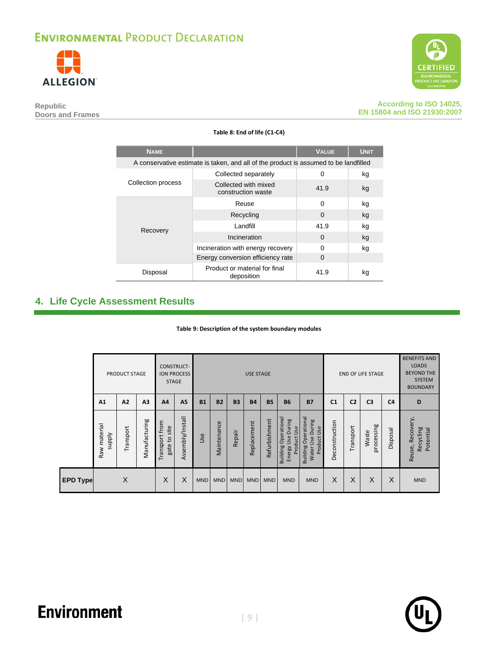



**Republic Doors and Frames**

**According to ISO 14025, EN 15804 and ISO 21930:2007**

| <b>NAME</b>                                                                          |                                             | <b>VALUE</b> | <b>UNIT</b> |
|--------------------------------------------------------------------------------------|---------------------------------------------|--------------|-------------|
| A conservative estimate is taken, and all of the product is assumed to be landfilled |                                             |              |             |
| Collection process                                                                   | Collected separately                        | 0            | kg          |
|                                                                                      | Collected with mixed<br>construction waste  | 41.9         | kg          |
|                                                                                      | Reuse                                       | 0            | kg          |
|                                                                                      | Recycling                                   | 0            | kg          |
| Recovery                                                                             | Landfill                                    | 41.9         | kg          |
|                                                                                      | Incineration                                | $\Omega$     | kg          |
|                                                                                      | Incineration with energy recovery           | 0            | kg          |
|                                                                                      | Energy conversion efficiency rate           | 0            |             |
| Disposal                                                                             | Product or material for final<br>deposition | 41.9         | kg          |

#### **Table 8: End of life (C1-C4)**

### <span id="page-8-1"></span><span id="page-8-0"></span>**4. Life Cycle Assessment Results**

#### **Table 9: Description of the system boundary modules**

|                 |                                 | PRODUCT STAGE |                | <b>STAGE</b>                   | <b>CONSTRUCT-</b><br><b>ION PROCESS</b> |            |             |            | <b>USE STAGE</b> |               |                                                                  |                                                                    |                |                | <b>END OF LIFE STAGE</b> |                | <b>BENEFITS AND</b><br><b>LOADS</b><br><b>BEYOND THE</b><br><b>SYSTEM</b><br><b>BOUNDARY</b> |
|-----------------|---------------------------------|---------------|----------------|--------------------------------|-----------------------------------------|------------|-------------|------------|------------------|---------------|------------------------------------------------------------------|--------------------------------------------------------------------|----------------|----------------|--------------------------|----------------|----------------------------------------------------------------------------------------------|
|                 | A1                              | A2            | A <sub>3</sub> | A4                             | A5                                      | <b>B1</b>  | <b>B2</b>   | <b>B3</b>  | <b>B4</b>        | <b>B5</b>     | <b>B6</b>                                                        | <b>B7</b>                                                          | C <sub>1</sub> | C <sub>2</sub> | C <sub>3</sub>           | C <sub>4</sub> | D                                                                                            |
|                 | material<br><b>Addns</b><br>Raw | Transport     | Manufacturing  | Transport from<br>gate to site | Assembly/Install                        | Use        | Maintenance | Repair     | Replacement      | Refurbishment | Operationa<br>During<br>Product Use<br>Use<br>Building<br>Energy | Operational<br>Use During<br>Use<br>Product<br>Building<br>Water I | Deconstruction | Transport      | processing<br>Waste      | Disposa        | Recovery,<br>Recycling<br>Potential<br>Reuse,                                                |
| <b>EPD Type</b> |                                 | X             |                | X                              | X                                       | <b>MND</b> | <b>MND</b>  | <b>MND</b> | <b>MND</b>       | <b>MND</b>    | <b>MND</b>                                                       | <b>MND</b>                                                         | X              | X              | X                        | X              | <b>MND</b>                                                                                   |

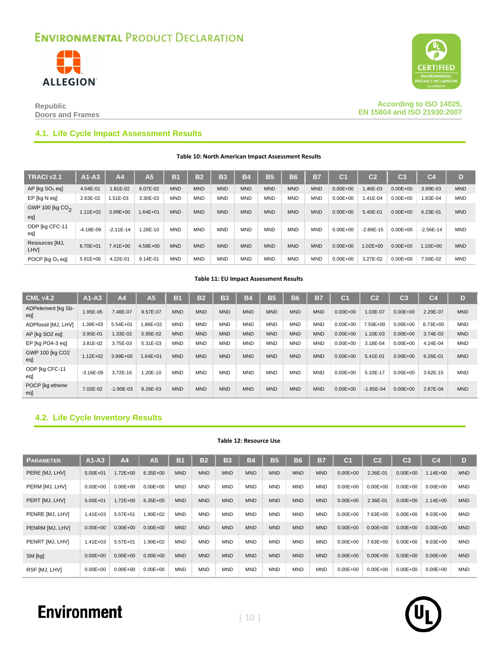



**Republic Doors and Frames**

**According to ISO 14025, EN 15804 and ISO 21930:2007**

#### **4.1. Life Cycle Impact Assessment Results**

**Table 10: North American Impact Assessment Results**

| TRACI v2.1                         | $A1-A3$       | A4           | A <sub>5</sub> | <b>B1</b>  | B <sub>2</sub> | B <sub>3</sub> | <b>B4</b>  | <b>B5</b>  | <b>B6</b>  | <b>B7</b>  | C <sub>1</sub> | C <sub>2</sub> | C <sub>3</sub> | C <sub>4</sub> | D          |
|------------------------------------|---------------|--------------|----------------|------------|----------------|----------------|------------|------------|------------|------------|----------------|----------------|----------------|----------------|------------|
| $AP$ [kg $SO2$ eq]                 | 4.04E-01      | 1.81E-02     | 6.07E-02       | <b>MND</b> | <b>MND</b>     | <b>MND</b>     | <b>MND</b> | <b>MND</b> | <b>MND</b> | <b>MND</b> | $0.00E + 00$   | $.46E-03$      | $0.00E + 00$   | 3.99E-03       | <b>MND</b> |
| EP [kg N eq]                       | 2.63E-02      | 1.51E-03     | 3.30E-03       | <b>MND</b> | <b>MND</b>     | <b>MND</b>     | <b>MND</b> | <b>MND</b> | <b>MND</b> | <b>MND</b> | $0.00E + 00$   | $.41E-04$      | $0.00E + 00$   | 1.83E-04       | <b>MND</b> |
| GWP 100 [kg CO <sub>2</sub><br>egl | $1.11E + 02$  | 3.99E+00     | $1.64E + 01$   | <b>MND</b> | <b>MND</b>     | <b>MND</b>     | <b>MND</b> | <b>MND</b> | <b>MND</b> | <b>MND</b> | $0.00E + 00$   | 5.40E-01       | $0.00E + 00$   | 6.23E-01       | <b>MND</b> |
| ODP [kg CFC-11<br>eal              | $-4.18E - 09$ | $-2.11E-14$  | .28E-10        | <b>MND</b> | <b>MND</b>     | <b>MND</b>     | <b>MND</b> | <b>MND</b> | <b>MND</b> | <b>MND</b> | $0.00E + 00$   | $-2.89E-15$    | $0.00E + 00$   | $-2.56E-14$    | <b>MND</b> |
| Resources [MJ,<br><b>LHVI</b>      | $6.70E + 01$  | $7.41E + 00$ | $4.58E + 00$   | <b>MND</b> | <b>MND</b>     | <b>MND</b>     | <b>MND</b> | <b>MND</b> | <b>MND</b> | <b>MND</b> | $0.00E + 00$   | $1.02E + 00$   | $0.00E + 00$   | $1.10E + 00$   | <b>MND</b> |
| POCP [kg O <sub>3</sub> eq]        | $5.91E + 00$  | 4.22E-01     | 9.14E-01       | <b>MND</b> | <b>MND</b>     | <b>MND</b>     | <b>MND</b> | <b>MND</b> | <b>MND</b> | <b>MND</b> | $0.00E + 00$   | 3.27E-02       | $0.00E + 00$   | 7.56E-02       | <b>MND</b> |

#### **Table 11: EU Impact Assessment Results**

| <b>CML v4.2</b>           | $A1-A3$      | A <sub>4</sub> | A5/          | B <sub>1</sub> | <b>B2</b>  | B3         | <b>B4</b>  | <b>B5</b>  | <b>B6</b>  | B7         | C.           | C <sub>2</sub> | C <sub>3</sub> | C <sub>4</sub> | D          |
|---------------------------|--------------|----------------|--------------|----------------|------------|------------|------------|------------|------------|------------|--------------|----------------|----------------|----------------|------------|
| ADPelement [kg Sb-<br>egl | 1.95E-05     | 7.48E-07       | 9.57E-07     | <b>MND</b>     | <b>MND</b> | <b>MND</b> | <b>MND</b> | <b>MND</b> | <b>MND</b> | <b>MND</b> | $0.00E + 00$ | 1.03E-07       | $0.00E + 00$   | 2.29E-07       | <b>MND</b> |
| ADPfossil [MJ, LHV]       | 1.39E+03     | $5.54E + 01$   | 1.86E+02     | <b>MND</b>     | <b>MND</b> | <b>MND</b> | <b>MND</b> | <b>MND</b> | <b>MND</b> | <b>MND</b> | $0.00E + 00$ | 7.59E+00       | $0.00E + 00$   | 8.73E+00       | <b>MND</b> |
| AP [kg SO2 eq]            | 3.95E-01     | 1.33E-02       | 5.95E-02     | <b>MND</b>     | <b>MND</b> | <b>MND</b> | <b>MND</b> | <b>MND</b> | <b>MND</b> | <b>MND</b> | $0.00E + 00$ | 1.10E-03       | $0.00E + 00$   | 3.74E-03       | <b>MND</b> |
| EP [kg PO4-3 eg]          | 3.81E-02     | 3.75E-03       | 5.31E-03     | <b>MND</b>     | <b>MND</b> | <b>MND</b> | <b>MND</b> | <b>MND</b> | <b>MND</b> | <b>MND</b> | $0.00E + 00$ | 3.18E-04       | $0.00E + 00$   | 4.24E-04       | <b>MND</b> |
| GWP 100 [kg CO2<br>egl    | $1.12E + 02$ | $3.99E + 00$   | $1.64E + 01$ | <b>MND</b>     | <b>MND</b> | <b>MND</b> | <b>MND</b> | <b>MND</b> | <b>MND</b> | <b>MND</b> | $0.00E + 00$ | 5.41E-01       | $0.00E + 00$   | 6.26E-01       | <b>MND</b> |
| ODP [kg CFC-11<br>eq      | $-3.16E-09$  | 3.72E-16       | 1.20E-10     | <b>MND</b>     | <b>MND</b> | <b>MND</b> | <b>MND</b> | <b>MND</b> | <b>MND</b> | <b>MND</b> | $0.00E + 00$ | 5.10E-17       | $0.00E + 00$   | 3.62E-15       | <b>MND</b> |
| POCP [kg ethene<br>egl    | 7.02E-02     | $-1.90E-03$    | 8.26E-03     | <b>MND</b>     | <b>MND</b> | <b>MND</b> | <b>MND</b> | <b>MND</b> | <b>MND</b> | <b>MND</b> | $0.00E + 00$ | $-1.65E - 04$  | $0.00E + 00$   | 2.87E-04       | <b>MND</b> |

#### **4.2. Life Cycle Inventory Results**

#### **Table 12: Resource Use**

| <b>PARAMETER</b> | $A1-A3$      | A <sub>4</sub> | A <sub>5</sub> | <b>B1</b>  | <b>B2</b>  | <b>B3</b>  | <b>B4</b>  | <b>B5</b>  | <b>B6</b>  | <b>B7</b>  | C <sub>1</sub> | C <sub>2</sub> | C <sub>3</sub> | C <sub>4</sub> | D          |
|------------------|--------------|----------------|----------------|------------|------------|------------|------------|------------|------------|------------|----------------|----------------|----------------|----------------|------------|
| PERE [MJ, LHV]   | $5.00E + 01$ | $.72E + 00$    | $6.35E + 00$   | <b>MND</b> | <b>MND</b> | <b>MND</b> | <b>MND</b> | <b>MND</b> | <b>MND</b> | <b>MND</b> | $0.00E + 00$   | 2.36E-01       | $0.00E + 00$   | $1.14E + 00$   | <b>MND</b> |
| PERM [MJ, LHV]   | $0.00E + 00$ | $0.00E + 00$   | $0.00E + 00$   | <b>MND</b> | <b>MND</b> | <b>MND</b> | <b>MND</b> | <b>MND</b> | <b>MND</b> | <b>MND</b> | $0.00E + 00$   | $0.00E + 00$   | $0.00E + 00$   | $0.00E + 00$   | <b>MND</b> |
| PERT [MJ, LHV]   | $5.00E + 01$ | $.72E + 00$    | $6.35E + 00$   | <b>MND</b> | <b>MND</b> | <b>MND</b> | <b>MND</b> | <b>MND</b> | <b>MND</b> | <b>MND</b> | $0.00E + 00$   | 2.36E-01       | $0.00E + 00$   | $1.14E + 00$   | <b>MND</b> |
| PENRE [MJ, LHV]  | $1.41E + 03$ | 5.57E+01       | 1.90E+02       | <b>MND</b> | <b>MND</b> | <b>MND</b> | <b>MND</b> | <b>MND</b> | <b>MND</b> | <b>MND</b> | $0.00E + 00$   | 7.63E+00       | $0.00E + 00$   | $9.03E + 00$   | <b>MND</b> |
| PENRM [MJ, LHV]  | $0.00E + 00$ | $0.00E + 00$   | $0.00E + 00$   | <b>MND</b> | <b>MND</b> | <b>MND</b> | <b>MND</b> | <b>MND</b> | <b>MND</b> | <b>MND</b> | $0.00E + 00$   | $0.00E + 00$   | $0.00E + 00$   | $0.00E + 00$   | <b>MND</b> |
| PENRT [MJ, LHV]  | $1.41E + 03$ | 5.57E+01       | 1.90E+02       | <b>MND</b> | <b>MND</b> | <b>MND</b> | <b>MND</b> | <b>MND</b> | <b>MND</b> | <b>MND</b> | $0.00E + 00$   | 7.63E+00       | $0.00E + 00$   | $9.03E + 00$   | <b>MND</b> |
| SM [kg]          | $0.00E + 00$ | $0.00E + 00$   | $0.00E + 00$   | <b>MND</b> | <b>MND</b> | <b>MND</b> | <b>MND</b> | <b>MND</b> | <b>MND</b> | <b>MND</b> | $0.00E + 00$   | $0.00E + 00$   | $0.00E + 00$   | $0.00E + 00$   | <b>MND</b> |
| RSF [MJ, LHV]    | $0.00E + 00$ | $0.00E + 00$   | $0.00E + 00$   | <b>MND</b> | <b>MND</b> | <b>MND</b> | <b>MND</b> | <b>MND</b> | <b>MND</b> | <b>MND</b> | $0.00E + 00$   | $0.00E + 00$   | $0.00E + 00$   | $0.00E + 00$   | <b>MND</b> |

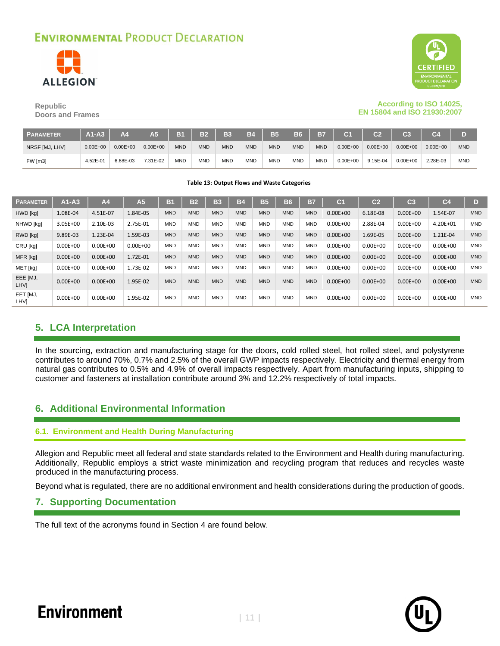



#### **Republic Doors and Frames**

#### **According to ISO 14025, EN 15804 and ISO 21930:2007**

| <b>PARAMETER</b> | $A1-A3$      | Α4           | A5.          | <b>B1</b>  | $\sqrt{32}$ | <b>B3</b>  | <b>B4</b>  | <b>B5</b>  | <b>B6</b>  | <b>B7</b>  | C <sub>1</sub> | $\overline{c}$ | C <sub>3</sub> | C <sub>4</sub> |            |
|------------------|--------------|--------------|--------------|------------|-------------|------------|------------|------------|------------|------------|----------------|----------------|----------------|----------------|------------|
| NRSF [MJ, LHV]   | $0.00E + 00$ | $0.00E + 00$ | $0.00E + 00$ | <b>MND</b> | <b>MND</b>  | <b>MND</b> | <b>MND</b> | <b>MND</b> | <b>MND</b> | <b>MND</b> | $0.00E + 00$   | $0.00E + 00$   | $0.00E + 00$   | $0.00E + 00$   | <b>MND</b> |
| FW [m3]          | 4.52E-01     | 6.68E-03     | 7.31E-02     | <b>MND</b> | <b>MND</b>  | <b>MND</b> | <b>MND</b> | <b>MND</b> | <b>MND</b> | <b>MND</b> | $0.00E + 00$   | 9.15E-04       | $0.00E + 00$   | 2.28E-03       | <b>MND</b> |

**Table 13: Output Flows and Waste Categories**

| <b>PARAMETER</b>        | $A1-A3$      | A <sub>4</sub> | A57          | B1         | <b>B2</b>  | B <sub>3</sub> | <b>B4</b>  | <b>B5</b>  | <b>B6</b>  | B7         | C <sub>1</sub> | C <sub>2</sub> | C <sub>3</sub> | C <sub>4</sub> | D          |
|-------------------------|--------------|----------------|--------------|------------|------------|----------------|------------|------------|------------|------------|----------------|----------------|----------------|----------------|------------|
| HWD [kg]                | 1.08E-04     | 4.51E-07       | 1.84E-05     | <b>MND</b> | <b>MND</b> | <b>MND</b>     | <b>MND</b> | <b>MND</b> | <b>MND</b> | <b>MND</b> | $0.00E + 00$   | 6.18E-08       | $0.00E + 00$   | 1.54E-07       | <b>MND</b> |
| NHWD [kg]               | 3.05E+00     | 2.10E-03       | 2.75E-01     | <b>MND</b> | <b>MND</b> | <b>MND</b>     | <b>MND</b> | <b>MND</b> | <b>MND</b> | <b>MND</b> | $0.00E + 00$   | 2.88E-04       | $0.00E + 00$   | 4.20E+01       | <b>MND</b> |
| RWD [kg]                | 9.89E-03     | 1.23E-04       | 1.59E-03     | <b>MND</b> | <b>MND</b> | <b>MND</b>     | <b>MND</b> | <b>MND</b> | <b>MND</b> | <b>MND</b> | $0.00E + 00$   | 1.69E-05       | $0.00E + 00$   | 1.21E-04       | <b>MND</b> |
| CRU [kg]                | $0.00E + 00$ | $0.00E + 00$   | $0.00E + 00$ | <b>MND</b> | <b>MND</b> | <b>MND</b>     | <b>MND</b> | <b>MND</b> | <b>MND</b> | <b>MND</b> | $0.00E + 00$   | $0.00E + 00$   | $0.00E + 00$   | $0.00E + 00$   | <b>MND</b> |
| MFR [kg]                | $0.00E + 00$ | $0.00E + 00$   | 1.72E-01     | <b>MND</b> | <b>MND</b> | <b>MND</b>     | <b>MND</b> | <b>MND</b> | <b>MND</b> | <b>MND</b> | $0.00E + 00$   | $0.00E + 00$   | $0.00E + 00$   | $0.00E + 00$   | <b>MND</b> |
| MET [kg]                | $0.00E + 00$ | $0.00E + 00$   | 1.73E-02     | <b>MND</b> | <b>MND</b> | <b>MND</b>     | <b>MND</b> | <b>MND</b> | <b>MND</b> | <b>MND</b> | $0.00E + 00$   | $0.00E + 00$   | $0.00E + 00$   | $0.00E + 00$   | <b>MND</b> |
| EEE [MJ,<br>LHV]        | $0.00E + 00$ | $0.00E + 00$   | 1.95E-02     | <b>MND</b> | <b>MND</b> | <b>MND</b>     | <b>MND</b> | <b>MND</b> | <b>MND</b> | <b>MND</b> | $0.00E + 00$   | $0.00E + 00$   | $0.00E + 00$   | $0.00E + 00$   | <b>MND</b> |
| EET [MJ,<br><b>LHVI</b> | $0.00E + 00$ | $0.00E + 00$   | 1.95E-02     | <b>MND</b> | <b>MND</b> | <b>MND</b>     | <b>MND</b> | <b>MND</b> | <b>MND</b> | <b>MND</b> | $0.00E + 00$   | $0.00E + 00$   | $0.00E + 00$   | $0.00E + 00$   | <b>MND</b> |

### **5. LCA Interpretation**

In the sourcing, extraction and manufacturing stage for the doors, cold rolled steel, hot rolled steel, and polystyrene contributes to around 70%, 0.7% and 2.5% of the overall GWP impacts respectively. Electricity and thermal energy from natural gas contributes to 0.5% and 4.9% of overall impacts respectively. Apart from manufacturing inputs, shipping to customer and fasteners at installation contribute around 3% and 12.2% respectively of total impacts.

### **6. Additional Environmental Information**

#### **6.1. Environment and Health During Manufacturing**

Allegion and Republic meet all federal and state standards related to the Environment and Health during manufacturing. Additionally, Republic employs a strict waste minimization and recycling program that reduces and recycles waste produced in the manufacturing process.

Beyond what is regulated, there are no additional environment and health considerations during the production of goods.

#### **7. Supporting Documentation**

The full text of the acronyms found in Section [4](#page-8-1) are found below.